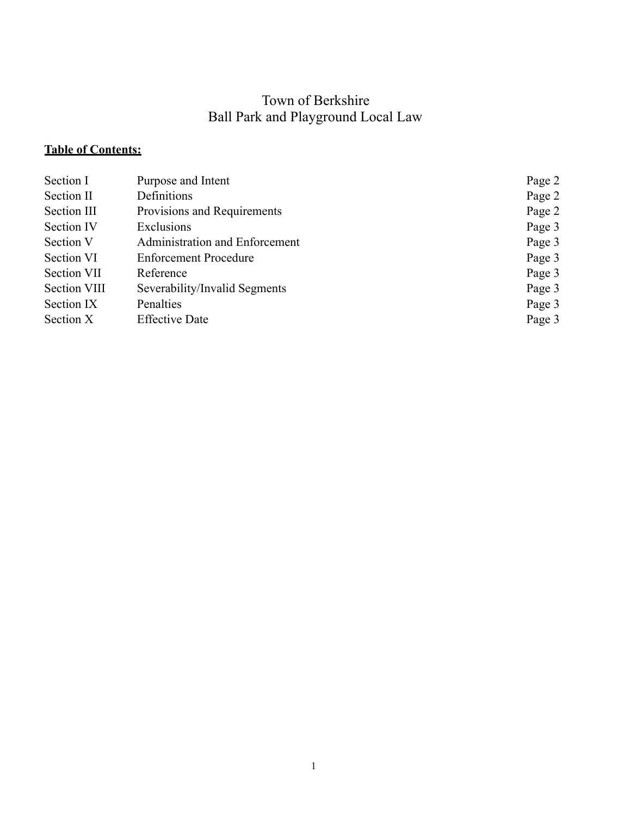# Town of Berkshire Ball Park and Playground Local Law

# **Table of Contents:**

| Section I    | Purpose and Intent             | Page 2 |
|--------------|--------------------------------|--------|
| Section II   | Definitions                    | Page 2 |
| Section III  | Provisions and Requirements    | Page 2 |
| Section IV   | Exclusions                     | Page 3 |
| Section V    | Administration and Enforcement | Page 3 |
| Section VI   | <b>Enforcement Procedure</b>   | Page 3 |
| Section VII  | Reference                      | Page 3 |
| Section VIII | Severability/Invalid Segments  | Page 3 |
| Section IX   | Penalties                      | Page 3 |
| Section X    | <b>Effective Date</b>          | Page 3 |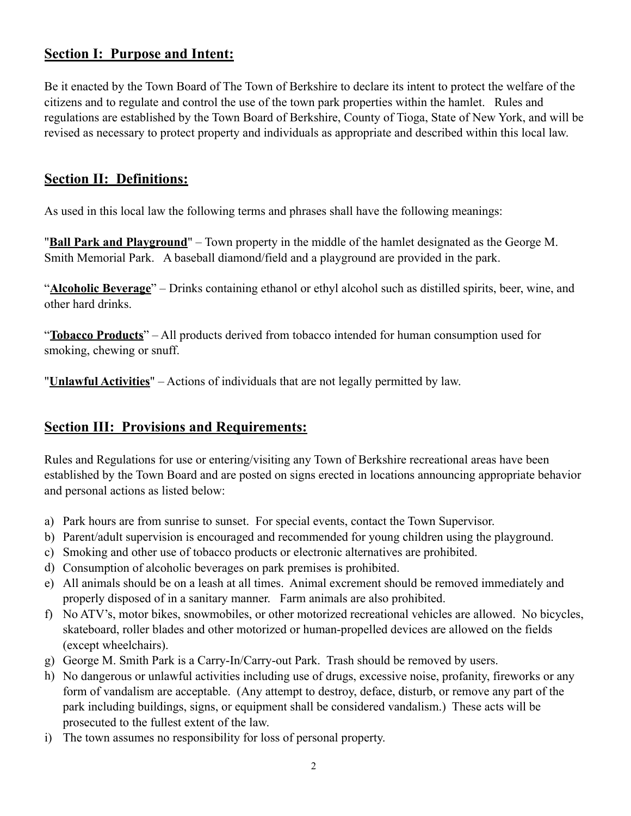### **Section I: Purpose and Intent:**

Be it enacted by the Town Board of The Town of Berkshire to declare its intent to protect the welfare of the citizens and to regulate and control the use of the town park properties within the hamlet. Rules and regulations are established by the Town Board of Berkshire, County of Tioga, State of New York, and will be revised as necessary to protect property and individuals as appropriate and described within this local law.

#### **Section II: Definitions:**

As used in this local law the following terms and phrases shall have the following meanings:

"**Ball Park and Playground**" – Town property in the middle of the hamlet designated as the George M. Smith Memorial Park. A baseball diamond/field and a playground are provided in the park.

"**Alcoholic Beverage**" – Drinks containing ethanol or ethyl alcohol such as distilled spirits, beer, wine, and other hard drinks.

"**Tobacco Products**" – All products derived from tobacco intended for human consumption used for smoking, chewing or snuff.

"**Unlawful Activities**" – Actions of individuals that are not legally permitted by law.

## **Section III: Provisions and Requirements:**

Rules and Regulations for use or entering/visiting any Town of Berkshire recreational areas have been established by the Town Board and are posted on signs erected in locations announcing appropriate behavior and personal actions as listed below:

- a) Park hours are from sunrise to sunset. For special events, contact the Town Supervisor.
- b) Parent/adult supervision is encouraged and recommended for young children using the playground.
- c) Smoking and other use of tobacco products or electronic alternatives are prohibited.
- d) Consumption of alcoholic beverages on park premises is prohibited.
- e) All animals should be on a leash at all times. Animal excrement should be removed immediately and properly disposed of in a sanitary manner. Farm animals are also prohibited.
- f) No ATV's, motor bikes, snowmobiles, or other motorized recreational vehicles are allowed. No bicycles, skateboard, roller blades and other motorized or human-propelled devices are allowed on the fields (except wheelchairs).
- g) George M. Smith Park is a Carry-In/Carry-out Park. Trash should be removed by users.
- h) No dangerous or unlawful activities including use of drugs, excessive noise, profanity, fireworks or any form of vandalism are acceptable. (Any attempt to destroy, deface, disturb, or remove any part of the park including buildings, signs, or equipment shall be considered vandalism.) These acts will be prosecuted to the fullest extent of the law.
- i) The town assumes no responsibility for loss of personal property.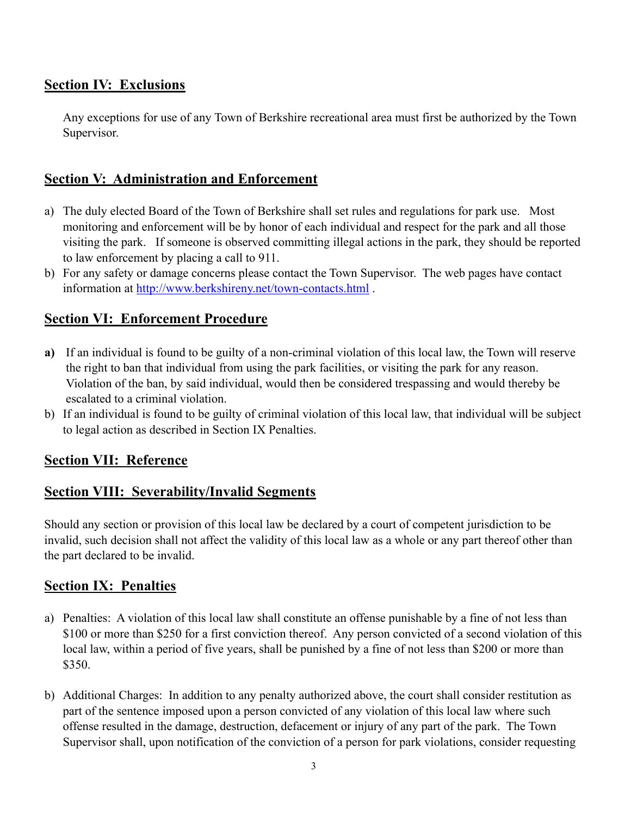### **Section IV: Exclusions**

Any exceptions for use of any Town of Berkshire recreational area must first be authorized by the Town Supervisor.

#### **Section V: Administration and Enforcement**

- a) The duly elected Board of the Town of Berkshire shall set rules and regulations for park use. Most monitoring and enforcement will be by honor of each individual and respect for the park and all those visiting the park. If someone is observed committing illegal actions in the park, they should be reported to law enforcement by placing a call to 911.
- b) For any safety or damage concerns please contact the Town Supervisor. The web pages have contact information at http://www.berkshireny.net/town-contacts.html.

#### **Section VI: Enforcement Procedure**

- **a)** If an individual is found to be guilty of a non-criminal violation of this local law, the Town will reserve the right to ban that individual from using the park facilities, or visiting the park for any reason. Violation of the ban, by said individual, would then be considered trespassing and would thereby be escalated to a criminal violation.
- b) If an individual is found to be guilty of criminal violation of this local law, that individual will be subject to legal action as described in Section IX Penalties.

#### **Section VII: Reference**

#### **Section VIII: Severability/Invalid Segments**

Should any section or provision of this local law be declared by a court of competent jurisdiction to be invalid, such decision shall not affect the validity of this local law as a whole or any part thereof other than the part declared to be invalid.

#### **Section IX: Penalties**

- a) Penalties: A violation of this local law shall constitute an offense punishable by a fine of not less than \$100 or more than \$250 for a first conviction thereof. Any person convicted of a second violation of this local law, within a period of five years, shall be punished by a fine of not less than \$200 or more than \$350.
- b) Additional Charges: In addition to any penalty authorized above, the court shall consider restitution as part of the sentence imposed upon a person convicted of any violation of this local law where such offense resulted in the damage, destruction, defacement or injury of any part of the park. The Town Supervisor shall, upon notification of the conviction of a person for park violations, consider requesting